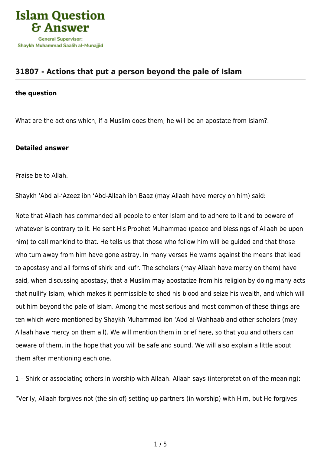

## **[31807 - Actions that put a person beyond the pale of Islam](https://islamqa.com/en/answers/31807/actions-that-put-a-person-beyond-the-pale-of-islam)**

## **the question**

What are the actions which, if a Muslim does them, he will be an apostate from Islam?.

## **Detailed answer**

Praise be to Allah.

Shaykh 'Abd al-'Azeez ibn 'Abd-Allaah ibn Baaz (may Allaah have mercy on him) said:

Note that Allaah has commanded all people to enter Islam and to adhere to it and to beware of whatever is contrary to it. He sent His Prophet Muhammad (peace and blessings of Allaah be upon him) to call mankind to that. He tells us that those who follow him will be guided and that those who turn away from him have gone astray. In many verses He warns against the means that lead to apostasy and all forms of shirk and kufr. The scholars (may Allaah have mercy on them) have said, when discussing apostasy, that a Muslim may apostatize from his religion by doing many acts that nullify Islam, which makes it permissible to shed his blood and seize his wealth, and which will put him beyond the pale of Islam. Among the most serious and most common of these things are ten which were mentioned by Shaykh Muhammad ibn 'Abd al-Wahhaab and other scholars (may Allaah have mercy on them all). We will mention them in brief here, so that you and others can beware of them, in the hope that you will be safe and sound. We will also explain a little about them after mentioning each one.

1 – Shirk or associating others in worship with Allaah. Allaah says (interpretation of the meaning):

"Verily, Allaah forgives not (the sin of) setting up partners (in worship) with Him, but He forgives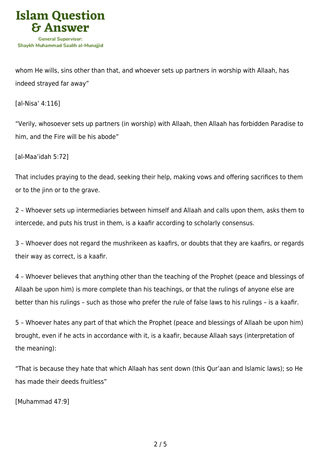

whom He wills, sins other than that, and whoever sets up partners in worship with Allaah, has indeed strayed far away"

[al-Nisa' 4:116]

"Verily, whosoever sets up partners (in worship) with Allaah, then Allaah has forbidden Paradise to him, and the Fire will be his abode"

[al-Maa'idah 5:72]

That includes praying to the dead, seeking their help, making vows and offering sacrifices to them or to the jinn or to the grave.

2 – Whoever sets up intermediaries between himself and Allaah and calls upon them, asks them to intercede, and puts his trust in them, is a kaafir according to scholarly consensus.

3 – Whoever does not regard the mushrikeen as kaafirs, or doubts that they are kaafirs, or regards their way as correct, is a kaafir.

4 – Whoever believes that anything other than the teaching of the Prophet (peace and blessings of Allaah be upon him) is more complete than his teachings, or that the rulings of anyone else are better than his rulings – such as those who prefer the rule of false laws to his rulings – is a kaafir.

5 – Whoever hates any part of that which the Prophet (peace and blessings of Allaah be upon him) brought, even if he acts in accordance with it, is a kaafir, because Allaah says (interpretation of the meaning):

"That is because they hate that which Allaah has sent down (this Qur'aan and Islamic laws); so He has made their deeds fruitless"

[Muhammad 47:9]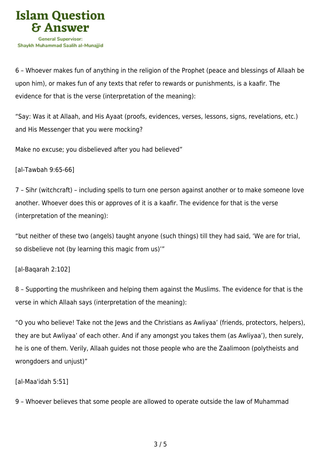

6 – Whoever makes fun of anything in the religion of the Prophet (peace and blessings of Allaah be upon him), or makes fun of any texts that refer to rewards or punishments, is a kaafir. The evidence for that is the verse (interpretation of the meaning):

"Say: Was it at Allaah, and His Ayaat (proofs, evidences, verses, lessons, signs, revelations, etc.) and His Messenger that you were mocking?

Make no excuse; you disbelieved after you had believed"

[al-Tawbah 9:65-66]

7 – Sihr (witchcraft) – including spells to turn one person against another or to make someone love another. Whoever does this or approves of it is a kaafir. The evidence for that is the verse (interpretation of the meaning):

"but neither of these two (angels) taught anyone (such things) till they had said, 'We are for trial, so disbelieve not (by learning this magic from us)'"

## [al-Baqarah 2:102]

8 – Supporting the mushrikeen and helping them against the Muslims. The evidence for that is the verse in which Allaah says (interpretation of the meaning):

"O you who believe! Take not the Jews and the Christians as Awliyaa' (friends, protectors, helpers), they are but Awliyaa' of each other. And if any amongst you takes them (as Awliyaa'), then surely, he is one of them. Verily, Allaah guides not those people who are the Zaalimoon (polytheists and wrongdoers and unjust)"

[al-Maa'idah 5:51]

9 – Whoever believes that some people are allowed to operate outside the law of Muhammad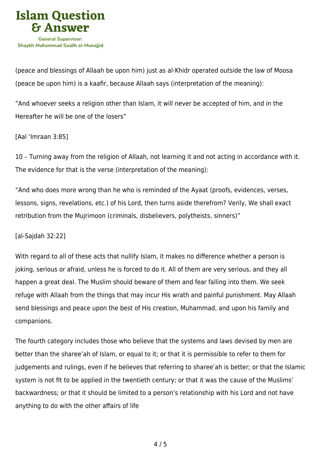

(peace and blessings of Allaah be upon him) just as al-Khidr operated outside the law of Moosa (peace be upon him) is a kaafir, because Allaah says (interpretation of the meaning):

"And whoever seeks a religion other than Islam, it will never be accepted of him, and in the Hereafter he will be one of the losers"

[Aal 'Imraan 3:85]

10 – Turning away from the religion of Allaah, not learning it and not acting in accordance with it. The evidence for that is the verse (interpretation of the meaning):

"And who does more wrong than he who is reminded of the Ayaat (proofs, evidences, verses, lessons, signs, revelations, etc.) of his Lord, then turns aside therefrom? Verily, We shall exact retribution from the Mujrimoon (criminals, disbelievers, polytheists, sinners)"

[al-Sajdah 32:22]

With regard to all of these acts that nullify Islam, it makes no difference whether a person is joking, serious or afraid, unless he is forced to do it. All of them are very serious, and they all happen a great deal. The Muslim should beware of them and fear falling into them. We seek refuge with Allaah from the things that may incur His wrath and painful punishment. May Allaah send blessings and peace upon the best of His creation, Muhammad, and upon his family and companions.

The fourth category includes those who believe that the systems and laws devised by men are better than the sharee'ah of Islam, or equal to it; or that it is permissible to refer to them for judgements and rulings, even if he believes that referring to sharee'ah is better; or that the Islamic system is not fit to be applied in the twentieth century; or that it was the cause of the Muslims' backwardness; or that it should be limited to a person's relationship with his Lord and not have anything to do with the other affairs of life